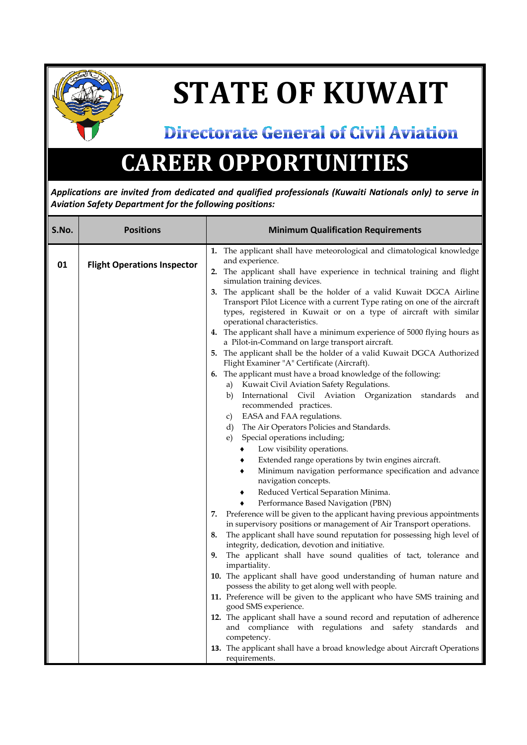

## **STATE OF KUWAIT**

## **Directorate General of Civil Aviation**

## **CAREER OPPORTUNITIES**

*Applications are invited from dedicated and qualified professionals (Kuwaiti Nationals only) to serve in Aviation Safety Department for the following positions:*

| S.No. | <b>Positions</b>                   | <b>Minimum Qualification Requirements</b>                                                                                                                                                                                                                                                                                         |
|-------|------------------------------------|-----------------------------------------------------------------------------------------------------------------------------------------------------------------------------------------------------------------------------------------------------------------------------------------------------------------------------------|
| 01    | <b>Flight Operations Inspector</b> | 1. The applicant shall have meteorological and climatological knowledge<br>and experience.<br>2. The applicant shall have experience in technical training and flight<br>simulation training devices.                                                                                                                             |
|       |                                    | 3. The applicant shall be the holder of a valid Kuwait DGCA Airline<br>Transport Pilot Licence with a current Type rating on one of the aircraft<br>types, registered in Kuwait or on a type of aircraft with similar<br>operational characteristics.<br>4. The applicant shall have a minimum experience of 5000 flying hours as |
|       |                                    | a Pilot-in-Command on large transport aircraft.<br>5. The applicant shall be the holder of a valid Kuwait DGCA Authorized<br>Flight Examiner "A" Certificate (Aircraft).                                                                                                                                                          |
|       |                                    | 6. The applicant must have a broad knowledge of the following:<br>a) Kuwait Civil Aviation Safety Regulations.<br>b) International Civil Aviation Organization standards<br>and                                                                                                                                                   |
|       |                                    | recommended practices.<br>c) EASA and FAA regulations.<br>d) The Air Operators Policies and Standards.<br>Special operations including;<br>e)                                                                                                                                                                                     |
|       |                                    | Low visibility operations.<br>٠<br>Extended range operations by twin engines aircraft.<br>٠<br>Minimum navigation performance specification and advance<br>٠                                                                                                                                                                      |
|       |                                    | navigation concepts.<br>Reduced Vertical Separation Minima.<br>٠<br>Performance Based Navigation (PBN)                                                                                                                                                                                                                            |
|       |                                    | Preference will be given to the applicant having previous appointments<br>7.<br>in supervisory positions or management of Air Transport operations.<br>The applicant shall have sound reputation for possessing high level of<br>8.                                                                                               |
|       |                                    | integrity, dedication, devotion and initiative.<br>The applicant shall have sound qualities of tact, tolerance and<br>9.<br>impartiality.                                                                                                                                                                                         |
|       |                                    | 10. The applicant shall have good understanding of human nature and<br>possess the ability to get along well with people.<br>11. Preference will be given to the applicant who have SMS training and                                                                                                                              |
|       |                                    | good SMS experience.<br>12. The applicant shall have a sound record and reputation of adherence<br>and compliance with regulations and safety standards and                                                                                                                                                                       |
|       |                                    | competency.<br>13. The applicant shall have a broad knowledge about Aircraft Operations<br>requirements.                                                                                                                                                                                                                          |